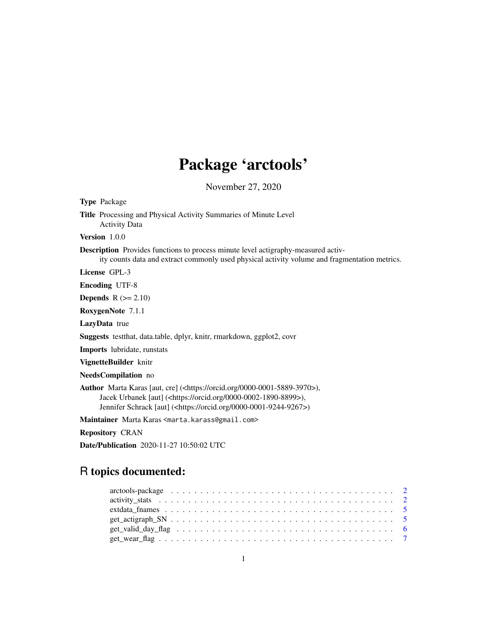# Package 'arctools'

November 27, 2020

Type Package Title Processing and Physical Activity Summaries of Minute Level Activity Data Version 1.0.0 Description Provides functions to process minute level actigraphy-measured activity counts data and extract commonly used physical activity volume and fragmentation metrics. License GPL-3 Encoding UTF-8 **Depends**  $R$  ( $>= 2.10$ ) RoxygenNote 7.1.1 LazyData true Suggests testthat, data.table, dplyr, knitr, rmarkdown, ggplot2, covr Imports lubridate, runstats VignetteBuilder knitr NeedsCompilation no Author Marta Karas [aut, cre] (<https://orcid.org/0000-0001-5889-3970>), Jacek Urbanek [aut] (<https://orcid.org/0000-0002-1890-8899>), Jennifer Schrack [aut] (<https://orcid.org/0000-0001-9244-9267>)

Maintainer Marta Karas <marta.karass@gmail.com>

Repository CRAN

Date/Publication 2020-11-27 10:50:02 UTC

## R topics documented: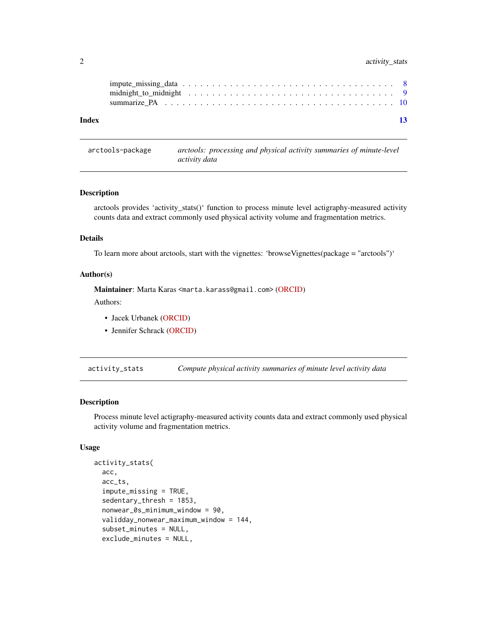#### <span id="page-1-0"></span>2 activity\_stats

arctools-package *arctools: processing and physical activity summaries of minute-level activity data*

#### Description

arctools provides 'activity\_stats()' function to process minute level actigraphy-measured activity counts data and extract commonly used physical activity volume and fragmentation metrics.

#### Details

To learn more about arctools, start with the vignettes: 'browseVignettes(package = "arctools")'

#### Author(s)

Maintainer: Marta Karas <marta.karass@gmail.com> [\(ORCID\)](https://orcid.org/0000-0001-5889-3970)

Authors:

- Jacek Urbanek [\(ORCID\)](https://orcid.org/0000-0002-1890-8899)
- Jennifer Schrack [\(ORCID\)](https://orcid.org/0000-0001-9244-9267)

activity\_stats *Compute physical activity summaries of minute level activity data*

#### Description

Process minute level actigraphy-measured activity counts data and extract commonly used physical activity volume and fragmentation metrics.

#### Usage

```
activity_stats(
  acc,
  acc_ts,
  impute_missing = TRUE,
  sedentary_thresh = 1853,
  nonwear_0s_minimum_window = 90,
  validday_nonwear_maximum_window = 144,
  subset_minutes = NULL,
  exclude_minutes = NULL,
```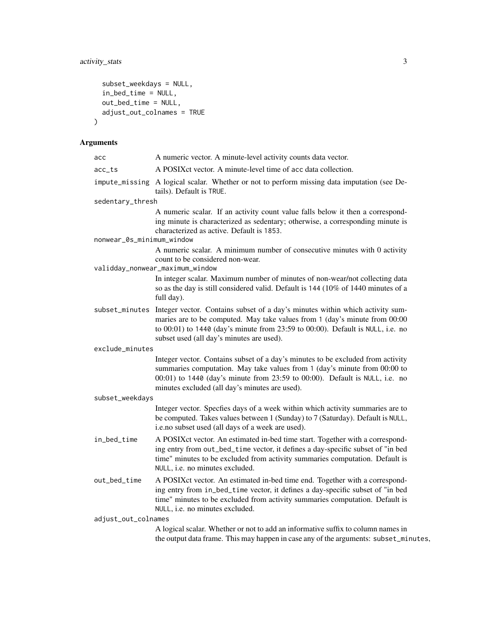```
subset_weekdays = NULL,
 in_bed_time = NULL,
 out_bed_time = NULL,
 adjust_out_colnames = TRUE
)
```
#### Arguments

| асс                       | A numeric vector. A minute-level activity counts data vector.                                                                                                                                                                                                                                             |
|---------------------------|-----------------------------------------------------------------------------------------------------------------------------------------------------------------------------------------------------------------------------------------------------------------------------------------------------------|
| acc_ts                    | A POSIX ct vector. A minute-level time of acc data collection.                                                                                                                                                                                                                                            |
|                           | impute_missing A logical scalar. Whether or not to perform missing data imputation (see De-<br>tails). Default is TRUE.                                                                                                                                                                                   |
| sedentary_thresh          |                                                                                                                                                                                                                                                                                                           |
|                           | A numeric scalar. If an activity count value falls below it then a correspond-<br>ing minute is characterized as sedentary; otherwise, a corresponding minute is<br>characterized as active. Default is 1853.                                                                                             |
| nonwear_0s_minimum_window |                                                                                                                                                                                                                                                                                                           |
|                           | A numeric scalar. A minimum number of consecutive minutes with 0 activity<br>count to be considered non-wear.                                                                                                                                                                                             |
|                           | validday_nonwear_maximum_window<br>In integer scalar. Maximum number of minutes of non-wear/not collecting data<br>so as the day is still considered valid. Default is 144 (10% of 1440 minutes of a<br>full day).                                                                                        |
|                           | subset_minutes Integer vector. Contains subset of a day's minutes within which activity sum-<br>maries are to be computed. May take values from 1 (day's minute from 00:00<br>to 00:01) to 1440 (day's minute from 23:59 to 00:00). Default is NULL, i.e. no<br>subset used (all day's minutes are used). |
| exclude_minutes           |                                                                                                                                                                                                                                                                                                           |
|                           | Integer vector. Contains subset of a day's minutes to be excluded from activity<br>summaries computation. May take values from 1 (day's minute from 00:00 to<br>00:01) to 1440 (day's minute from 23:59 to 00:00). Default is NULL, i.e. no<br>minutes excluded (all day's minutes are used).             |
| subset_weekdays           |                                                                                                                                                                                                                                                                                                           |
|                           | Integer vector. Specfies days of a week within which activity summaries are to<br>be computed. Takes values between 1 (Sunday) to 7 (Saturday). Default is NULL,<br>i.e.no subset used (all days of a week are used).                                                                                     |
| in_bed_time               | A POSIXct vector. An estimated in-bed time start. Together with a correspond-<br>ing entry from out_bed_time vector, it defines a day-specific subset of "in bed<br>time" minutes to be excluded from activity summaries computation. Default is<br>NULL, i.e. no minutes excluded.                       |
| out_bed_time              | A POSIXct vector. An estimated in-bed time end. Together with a correspond-<br>ing entry from in_bed_time vector, it defines a day-specific subset of "in bed<br>time" minutes to be excluded from activity summaries computation. Default is<br>NULL, i.e. no minutes excluded.                          |
| adjust_out_colnames       |                                                                                                                                                                                                                                                                                                           |
|                           | A logical scalar. Whether or not to add an informative suffix to column names in                                                                                                                                                                                                                          |

the output data frame. This may happen in case any of the arguments: subset\_minutes,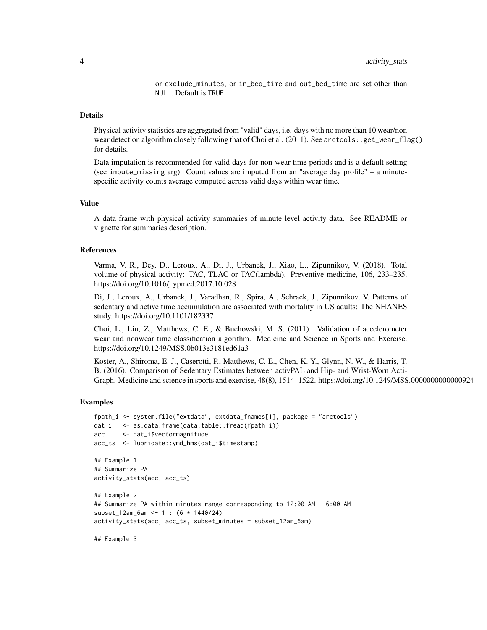or exclude\_minutes, or in\_bed\_time and out\_bed\_time are set other than NULL. Default is TRUE.

#### Details

Physical activity statistics are aggregated from "valid" days, i.e. days with no more than 10 wear/nonwear detection algorithm closely following that of Choi et al. (2011). See arctools::get\_wear\_flag() for details.

Data imputation is recommended for valid days for non-wear time periods and is a default setting (see impute\_missing arg). Count values are imputed from an "average day profile" – a minutespecific activity counts average computed across valid days within wear time.

#### Value

A data frame with physical activity summaries of minute level activity data. See README or vignette for summaries description.

#### References

Varma, V. R., Dey, D., Leroux, A., Di, J., Urbanek, J., Xiao, L., Zipunnikov, V. (2018). Total volume of physical activity: TAC, TLAC or TAC(lambda). Preventive medicine, 106, 233–235. https://doi.org/10.1016/j.ypmed.2017.10.028

Di, J., Leroux, A., Urbanek, J., Varadhan, R., Spira, A., Schrack, J., Zipunnikov, V. Patterns of sedentary and active time accumulation are associated with mortality in US adults: The NHANES study. https://doi.org/10.1101/182337

Choi, L., Liu, Z., Matthews, C. E., & Buchowski, M. S. (2011). Validation of accelerometer wear and nonwear time classification algorithm. Medicine and Science in Sports and Exercise. https://doi.org/10.1249/MSS.0b013e3181ed61a3

Koster, A., Shiroma, E. J., Caserotti, P., Matthews, C. E., Chen, K. Y., Glynn, N. W., & Harris, T. B. (2016). Comparison of Sedentary Estimates between activPAL and Hip- and Wrist-Worn Acti-Graph. Medicine and science in sports and exercise, 48(8), 1514–1522. https://doi.org/10.1249/MSS.0000000000000924

#### Examples

```
fpath_i <- system.file("extdata", extdata_fnames[1], package = "arctools")
dat_i <- as.data.frame(data.table::fread(fpath_i))
acc <- dat_i$vectormagnitude
acc_ts <- lubridate::ymd_hms(dat_i$timestamp)
## Example 1
## Summarize PA
activity_stats(acc, acc_ts)
## Example 2
## Summarize PA within minutes range corresponding to 12:00 AM - 6:00 AM
subset_12am_6am <- 1 : (6 * 1440/24)
activity_stats(acc, acc_ts, subset_minutes = subset_12am_6am)
```
## Example 3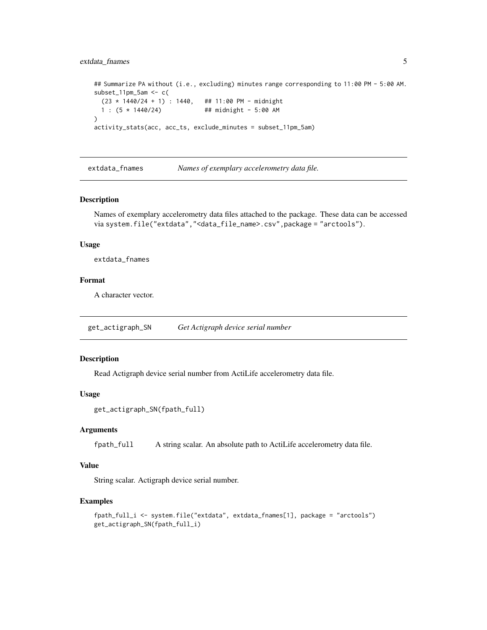#### <span id="page-4-0"></span>extdata\_fnames 5

## Summarize PA without (i.e., excluding) minutes range corresponding to 11:00 PM - 5:00 AM. subset\_11pm\_5am <- c( (23 \* 1440/24 + 1) : 1440, ## 11:00 PM - midnight 1 : (5 \* 1440/24) ## midnight - 5:00 AM ) activity\_stats(acc, acc\_ts, exclude\_minutes = subset\_11pm\_5am)

extdata\_fnames *Names of exemplary accelerometry data file.*

#### Description

Names of exemplary accelerometry data files attached to the package. These data can be accessed via system.file("extdata","<data\_file\_name>.csv",package = "arctools").

#### Usage

extdata\_fnames

#### Format

A character vector.

get\_actigraph\_SN *Get Actigraph device serial number*

#### Description

Read Actigraph device serial number from ActiLife accelerometry data file.

#### Usage

```
get_actigraph_SN(fpath_full)
```
#### **Arguments**

fpath\_full A string scalar. An absolute path to ActiLife accelerometry data file.

#### Value

String scalar. Actigraph device serial number.

#### Examples

```
fpath_full_i <- system.file("extdata", extdata_fnames[1], package = "arctools")
get_actigraph_SN(fpath_full_i)
```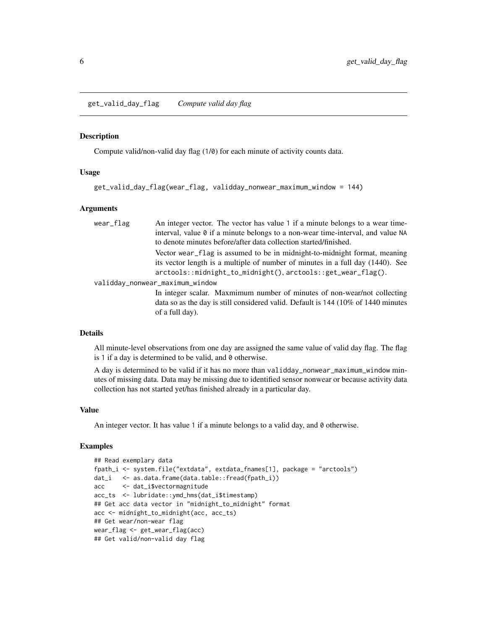#### <span id="page-5-0"></span>**Description**

Compute valid/non-valid day flag (1/0) for each minute of activity counts data.

#### Usage

```
get_valid_day_flag(wear_flag, validday_nonwear_maximum_window = 144)
```
#### Arguments

| wear_flag | An integer vector. The vector has value 1 if a minute belongs to a wear time-             |
|-----------|-------------------------------------------------------------------------------------------|
|           | interval, value 0 if a minute belongs to a non-wear time-interval, and value NA           |
|           | to denote minutes before/after data collection started/finished.                          |
|           | Vector wear flag is assumed to be in midnight-to-midnight format, meaning                 |
|           | its vector length is a multiple of number of minutes in a full day (1440). See            |
|           | arctools::midnight_to_midnight(), arctools::get_wear_flag().                              |
|           | validday_nonwear_maximum_window                                                           |
|           | In integer scalar. Maxmimum number of minutes of non-wear/not collecting                  |
|           | data so as the day is still considered valid. Default is $144$ ( $10\%$ of $1440$ minutes |
|           | of a full day).                                                                           |
|           |                                                                                           |

#### Details

All minute-level observations from one day are assigned the same value of valid day flag. The flag is 1 if a day is determined to be valid, and 0 otherwise.

A day is determined to be valid if it has no more than validday\_nonwear\_maximum\_window minutes of missing data. Data may be missing due to identified sensor nonwear or because activity data collection has not started yet/has finished already in a particular day.

#### Value

An integer vector. It has value 1 if a minute belongs to a valid day, and 0 otherwise.

#### Examples

```
## Read exemplary data
fpath_i <- system.file("extdata", extdata_fnames[1], package = "arctools")
dat_i <- as.data.frame(data.table::fread(fpath_i))
acc <- dat_i$vectormagnitude
acc_ts <- lubridate::ymd_hms(dat_i$timestamp)
## Get acc data vector in "midnight_to_midnight" format
acc <- midnight_to_midnight(acc, acc_ts)
## Get wear/non-wear flag
wear_flag <- get_wear_flag(acc)
## Get valid/non-valid day flag
```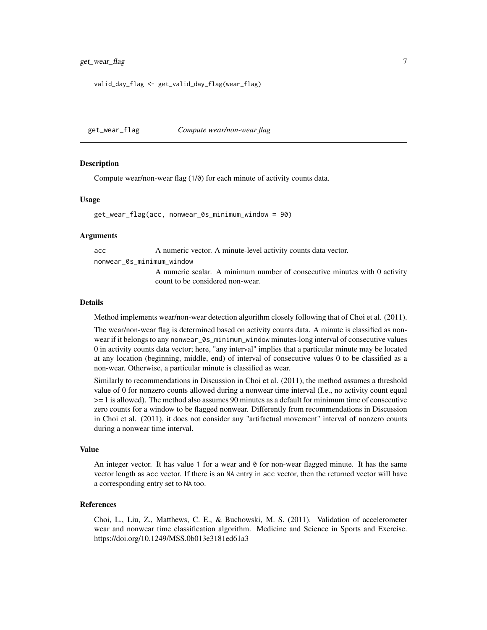```
valid_day_flag <- get_valid_day_flag(wear_flag)
```
get\_wear\_flag *Compute wear/non-wear flag*

#### **Description**

Compute wear/non-wear flag (1/0) for each minute of activity counts data.

#### Usage

get\_wear\_flag(acc, nonwear\_0s\_minimum\_window = 90)

#### Arguments

acc A numeric vector. A minute-level activity counts data vector.

nonwear\_0s\_minimum\_window

A numeric scalar. A minimum number of consecutive minutes with 0 activity count to be considered non-wear.

#### Details

Method implements wear/non-wear detection algorithm closely following that of Choi et al. (2011).

The wear/non-wear flag is determined based on activity counts data. A minute is classified as nonwear if it belongs to any nonwear\_0s\_minimum\_window minutes-long interval of consecutive values 0 in activity counts data vector; here, "any interval" implies that a particular minute may be located at any location (beginning, middle, end) of interval of consecutive values 0 to be classified as a non-wear. Otherwise, a particular minute is classified as wear.

Similarly to recommendations in Discussion in Choi et al. (2011), the method assumes a threshold value of 0 for nonzero counts allowed during a nonwear time interval (I.e., no activity count equal >= 1 is allowed). The method also assumes 90 minutes as a default for minimum time of consecutive zero counts for a window to be flagged nonwear. Differently from recommendations in Discussion in Choi et al. (2011), it does not consider any "artifactual movement" interval of nonzero counts during a nonwear time interval.

#### Value

An integer vector. It has value 1 for a wear and  $\theta$  for non-wear flagged minute. It has the same vector length as acc vector. If there is an NA entry in acc vector, then the returned vector will have a corresponding entry set to NA too.

#### References

Choi, L., Liu, Z., Matthews, C. E., & Buchowski, M. S. (2011). Validation of accelerometer wear and nonwear time classification algorithm. Medicine and Science in Sports and Exercise. https://doi.org/10.1249/MSS.0b013e3181ed61a3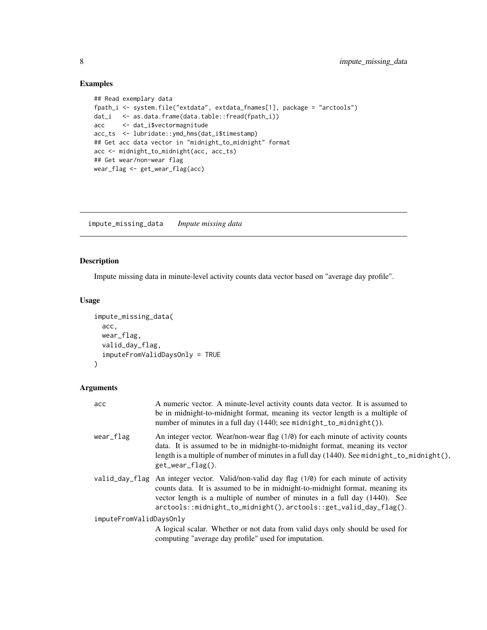#### Examples

```
## Read exemplary data
fpath_i <- system.file("extdata", extdata_fnames[1], package = "arctools")
dat_i <- as.data.frame(data.table::fread(fpath_i))
acc <- dat_i$vectormagnitude
acc_ts <- lubridate::ymd_hms(dat_i$timestamp)
## Get acc data vector in "midnight_to_midnight" format
acc <- midnight_to_midnight(acc, acc_ts)
## Get wear/non-wear flag
wear_flag <- get_wear_flag(acc)
```
impute\_missing\_data *Impute missing data*

#### Description

Impute missing data in minute-level activity counts data vector based on "average day profile".

#### Usage

```
impute_missing_data(
  acc,
 wear_flag,
 valid_day_flag,
  imputeFromValidDaysOnly = TRUE
\mathcal{L}
```
#### Arguments

| acc                     | A numeric vector. A minute-level activity counts data vector. It is assumed to<br>be in midnight-to-midnight format, meaning its vector length is a multiple of<br>number of minutes in a full day $(1440;$ see midnight_to_midnight()).                                                                                          |
|-------------------------|-----------------------------------------------------------------------------------------------------------------------------------------------------------------------------------------------------------------------------------------------------------------------------------------------------------------------------------|
| wear_flag               | An integer vector. Wear/non-wear flag (1/0) for each minute of activity counts<br>data. It is assumed to be in midnight-to-midnight format, meaning its vector<br>length is a multiple of number of minutes in a full day $(1440)$ . See midnight_to_midnight(),<br>$get\_wear_flag()$ .                                          |
|                         | valid_day_flag An integer vector. Valid/non-valid day flag (1/0) for each minute of activity<br>counts data. It is assumed to be in midnight-to-midnight format, meaning its<br>vector length is a multiple of number of minutes in a full day (1440). See<br>$arctools::midnight_to_midnight(), arctools::get_valid_day_flag().$ |
| imputeFromValidDaysOnly |                                                                                                                                                                                                                                                                                                                                   |
|                         | A logical scalar. Whether or not data from valid days only should be used for<br>computing "average day profile" used for imputation.                                                                                                                                                                                             |

<span id="page-7-0"></span>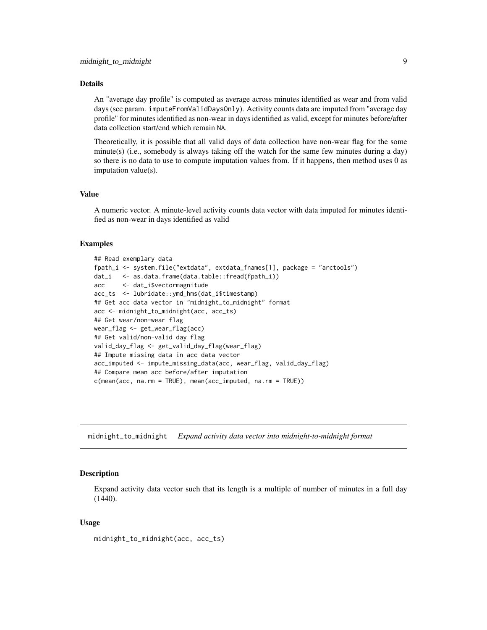#### <span id="page-8-0"></span>Details

An "average day profile" is computed as average across minutes identified as wear and from valid days (see param. imputeFromValidDaysOnly). Activity counts data are imputed from "average day profile" for minutes identified as non-wear in days identified as valid, except for minutes before/after data collection start/end which remain NA.

Theoretically, it is possible that all valid days of data collection have non-wear flag for the some minute(s) (i.e., somebody is always taking off the watch for the same few minutes during a day) so there is no data to use to compute imputation values from. If it happens, then method uses 0 as imputation value(s).

#### Value

A numeric vector. A minute-level activity counts data vector with data imputed for minutes identified as non-wear in days identified as valid

#### Examples

```
## Read exemplary data
fpath_i <- system.file("extdata", extdata_fnames[1], package = "arctools")
dat_i <- as.data.frame(data.table::fread(fpath_i))
acc <- dat_i$vectormagnitude
acc_ts <- lubridate::ymd_hms(dat_i$timestamp)
## Get acc data vector in "midnight_to_midnight" format
acc <- midnight_to_midnight(acc, acc_ts)
## Get wear/non-wear flag
wear_flag <- get_wear_flag(acc)
## Get valid/non-valid day flag
valid_day_flag <- get_valid_day_flag(wear_flag)
## Impute missing data in acc data vector
acc_imputed <- impute_missing_data(acc, wear_flag, valid_day_flag)
## Compare mean acc before/after imputation
c(mean(acc, na.rm = TRUE), mean(acc_imputed, na.rm = TRUE))
```
midnight\_to\_midnight *Expand activity data vector into midnight-to-midnight format*

#### **Description**

Expand activity data vector such that its length is a multiple of number of minutes in a full day (1440).

#### Usage

midnight\_to\_midnight(acc, acc\_ts)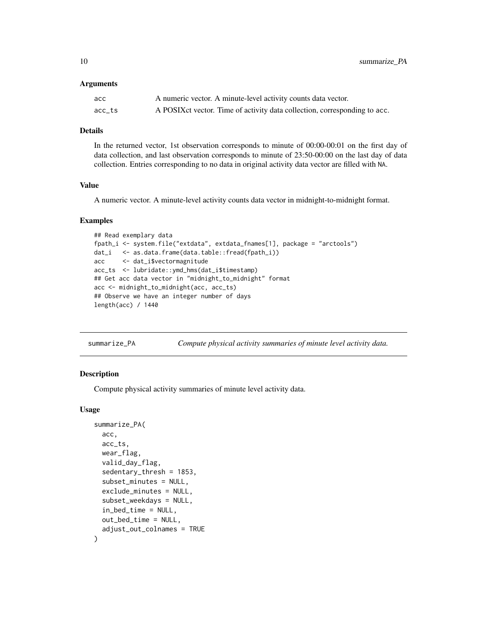<span id="page-9-0"></span>10 summarize\_PA

#### **Arguments**

| асс    | A numeric vector. A minute-level activity counts data vector.              |
|--------|----------------------------------------------------------------------------|
| acc ts | A POSIX et vector. Time of activity data collection, corresponding to acc. |

#### Details

In the returned vector, 1st observation corresponds to minute of 00:00-00:01 on the first day of data collection, and last observation corresponds to minute of 23:50-00:00 on the last day of data collection. Entries corresponding to no data in original activity data vector are filled with NA.

#### Value

A numeric vector. A minute-level activity counts data vector in midnight-to-midnight format.

#### Examples

```
## Read exemplary data
fpath_i <- system.file("extdata", extdata_fnames[1], package = "arctools")
dat_i <- as.data.frame(data.table::fread(fpath_i))
acc <- dat_i$vectormagnitude
acc_ts <- lubridate::ymd_hms(dat_i$timestamp)
## Get acc data vector in "midnight_to_midnight" format
acc <- midnight_to_midnight(acc, acc_ts)
## Observe we have an integer number of days
length(acc) / 1440
```

| summarize PA |  |  | Compute physical activity summaries of minute level activity data. |
|--------------|--|--|--------------------------------------------------------------------|
|              |  |  |                                                                    |

#### Description

Compute physical activity summaries of minute level activity data.

#### Usage

```
summarize_PA(
 acc,
 acc_ts,
 wear_flag,
 valid_day_flag,
  sedentary_thresh = 1853,
  subset_minutes = NULL,
  exclude_minutes = NULL,
  subset_weekdays = NULL,
  in_bed_time = NULL,
  out_bed_time = NULL,
  adjust_out_colnames = TRUE
)
```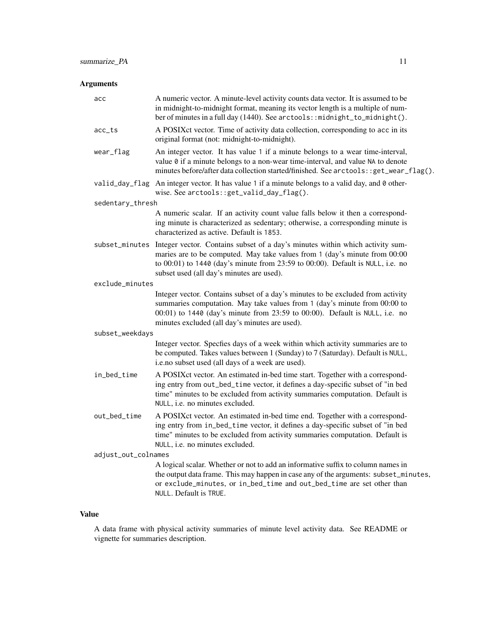### Arguments

| acc                 | A numeric vector. A minute-level activity counts data vector. It is assumed to be<br>in midnight-to-midnight format, meaning its vector length is a multiple of num-<br>ber of minutes in a full day (1440). See arctools::midnight_to_midnight().                                                        |  |  |
|---------------------|-----------------------------------------------------------------------------------------------------------------------------------------------------------------------------------------------------------------------------------------------------------------------------------------------------------|--|--|
| acc_ts              | A POSIXct vector. Time of activity data collection, corresponding to acc in its<br>original format (not: midnight-to-midnight).                                                                                                                                                                           |  |  |
| wear_flag           | An integer vector. It has value 1 if a minute belongs to a wear time-interval,<br>value 0 if a minute belongs to a non-wear time-interval, and value NA to denote<br>minutes before/after data collection started/finished. See arctools: : get_wear_flag().                                              |  |  |
|                     | valid_day_flag An integer vector. It has value 1 if a minute belongs to a valid day, and 0 other-<br>wise. See arctools::get_valid_day_flag().                                                                                                                                                            |  |  |
| sedentary_thresh    |                                                                                                                                                                                                                                                                                                           |  |  |
|                     | A numeric scalar. If an activity count value falls below it then a correspond-<br>ing minute is characterized as sedentary; otherwise, a corresponding minute is<br>characterized as active. Default is 1853.                                                                                             |  |  |
|                     | subset_minutes Integer vector. Contains subset of a day's minutes within which activity sum-<br>maries are to be computed. May take values from 1 (day's minute from 00:00<br>to 00:01) to 1440 (day's minute from 23:59 to 00:00). Default is NULL, i.e. no<br>subset used (all day's minutes are used). |  |  |
| exclude_minutes     |                                                                                                                                                                                                                                                                                                           |  |  |
|                     | Integer vector. Contains subset of a day's minutes to be excluded from activity<br>summaries computation. May take values from 1 (day's minute from 00:00 to<br>00:01) to 1440 (day's minute from 23:59 to 00:00). Default is NULL, i.e. no<br>minutes excluded (all day's minutes are used).             |  |  |
| subset_weekdays     |                                                                                                                                                                                                                                                                                                           |  |  |
|                     | Integer vector. Specfies days of a week within which activity summaries are to<br>be computed. Takes values between 1 (Sunday) to 7 (Saturday). Default is NULL,<br>i.e.no subset used (all days of a week are used).                                                                                     |  |  |
| in_bed_time         | A POSIXct vector. An estimated in-bed time start. Together with a correspond-<br>ing entry from out_bed_time vector, it defines a day-specific subset of "in bed<br>time" minutes to be excluded from activity summaries computation. Default is<br>NULL, <i>i.e.</i> no minutes excluded.                |  |  |
| out_bed_time        | A POSIXct vector. An estimated in-bed time end. Together with a correspond-<br>ing entry from in_bed_time vector, it defines a day-specific subset of "in bed<br>time" minutes to be excluded from activity summaries computation. Default is<br>NULL, <i>i.e.</i> no minutes excluded.                   |  |  |
| adjust_out_colnames |                                                                                                                                                                                                                                                                                                           |  |  |
|                     | A logical scalar. Whether or not to add an informative suffix to column names in<br>the output data frame. This may happen in case any of the arguments: subset_minutes,<br>or exclude_minutes, or in_bed_time and out_bed_time are set other than<br>NULL. Default is TRUE.                              |  |  |

#### Value

A data frame with physical activity summaries of minute level activity data. See README or vignette for summaries description.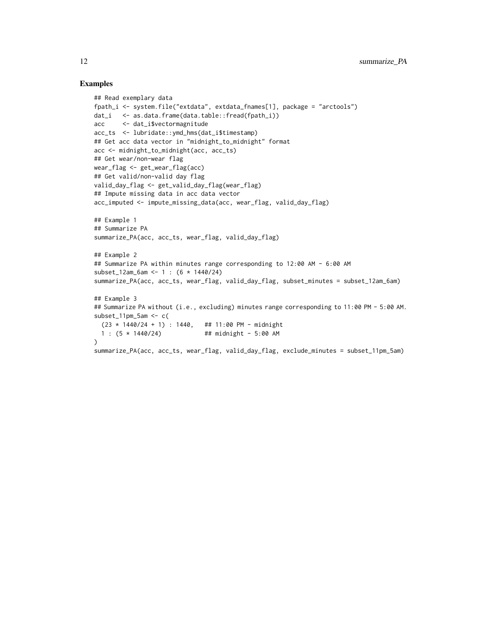#### Examples

```
## Read exemplary data
fpath_i <- system.file("extdata", extdata_fnames[1], package = "arctools")
dat_i <- as.data.frame(data.table::fread(fpath_i))
acc <- dat_i$vectormagnitude
acc_ts <- lubridate::ymd_hms(dat_i$timestamp)
## Get acc data vector in "midnight_to_midnight" format
acc <- midnight_to_midnight(acc, acc_ts)
## Get wear/non-wear flag
wear_flag <- get_wear_flag(acc)
## Get valid/non-valid day flag
valid_day_flag <- get_valid_day_flag(wear_flag)
## Impute missing data in acc data vector
acc_imputed <- impute_missing_data(acc, wear_flag, valid_day_flag)
## Example 1
## Summarize PA
summarize_PA(acc, acc_ts, wear_flag, valid_day_flag)
## Example 2
## Summarize PA within minutes range corresponding to 12:00 AM - 6:00 AM
subset_12am_6am <- 1 : (6 * 1440/24)
summarize_PA(acc, acc_ts, wear_flag, valid_day_flag, subset_minutes = subset_12am_6am)
## Example 3
## Summarize PA without (i.e., excluding) minutes range corresponding to 11:00 PM - 5:00 AM.
subset_11pm_5am < c(23 * 1440/24 + 1): 1440, ## 11:00 PM - midnight
 1 : (5 * 1440/24) ## midnight - 5:00 AM
)
summarize_PA(acc, acc_ts, wear_flag, valid_day_flag, exclude_minutes = subset_11pm_5am)
```